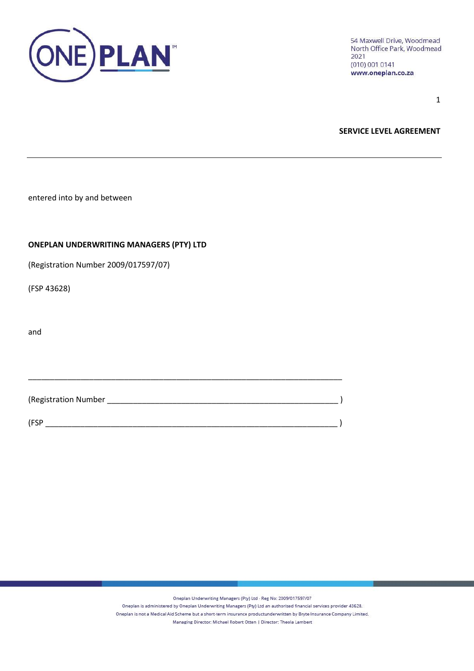

1

**SERVICE LEVEL AGREEMENT**

entered into by and between

## **ONEPLAN UNDERWRITING MANAGERS (PTY) LTD**

(Registration Number 2009/017597/07)

(FSP 43628)

and

(Registration Number \_\_\_\_\_\_\_\_\_\_\_\_\_\_\_\_\_\_\_\_\_\_\_\_\_\_\_\_\_\_\_\_\_\_\_\_\_\_\_\_\_\_\_\_\_\_\_\_\_\_\_\_\_ ) (FSP \_\_\_\_\_\_\_\_\_\_\_\_\_\_\_\_\_\_\_\_\_\_\_\_\_\_\_\_\_\_\_\_\_\_\_\_\_\_\_\_\_\_\_\_\_\_\_\_\_\_\_\_\_\_\_\_\_\_\_\_\_\_\_\_\_\_\_ )

\_\_\_\_\_\_\_\_\_\_\_\_\_\_\_\_\_\_\_\_\_\_\_\_\_\_\_\_\_\_\_\_\_\_\_\_\_\_\_\_\_\_\_\_\_\_\_\_\_\_\_\_\_\_\_\_\_\_\_\_\_\_\_\_\_\_\_\_\_\_\_\_

Oneplan Underwriting Managers (Pty) Ltd - Reg No: 2009/017597/07

Oneplan is administered by Oneplan Underwriting Managers (Pty) Ltd an authorised financial services provider 43628.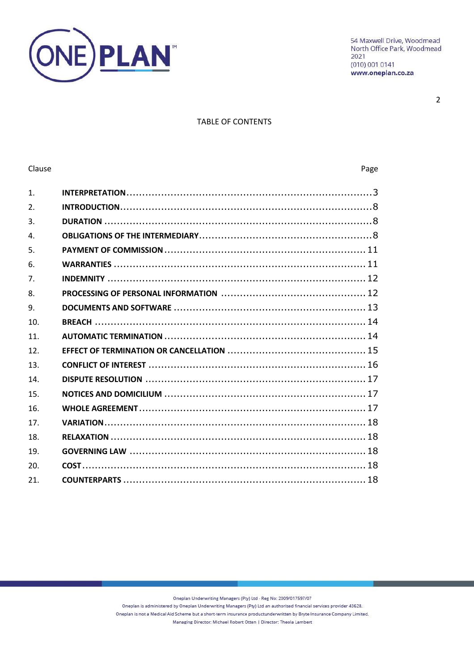

 $\overline{2}$ 

# **TABLE OF CONTENTS**

### Clause

### Page

| $\mathbf{1}$ .  |  |
|-----------------|--|
| 2 <sub>1</sub>  |  |
| 3.              |  |
| $\overline{4}$  |  |
| 5.              |  |
| 6.              |  |
| 7 <sup>1</sup>  |  |
| 8.              |  |
| 9.              |  |
| 10.             |  |
| 11 <sub>1</sub> |  |
| 12.             |  |
| 13.             |  |
| 14              |  |
| 15.             |  |
| 16.             |  |
| 17.             |  |
| 18.             |  |
| 19.             |  |
| 20.             |  |
| 21.             |  |

Oneplan Underwriting Managers (Pty) Ltd - Reg No: 2009/017597/07

Oneplan is administered by Oneplan Underwriting Managers (Pty) Ltd an authorised financial services provider 43628.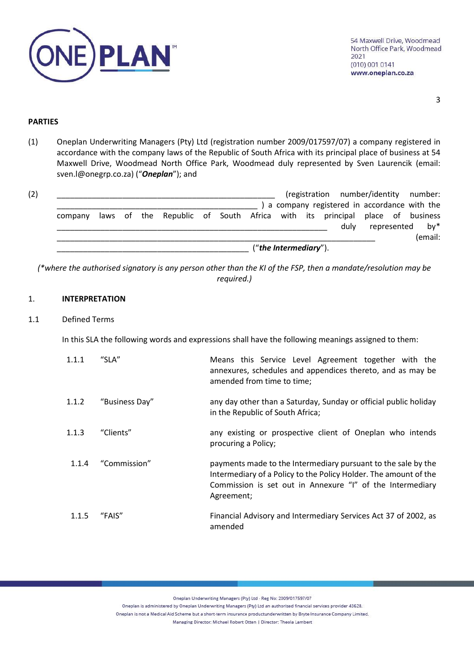

### **PARTIES**

(1) Oneplan Underwriting Managers (Pty) Ltd (registration number 2009/017597/07) a company registered in accordance with the company laws of the Republic of South Africa with its principal place of business at 54 Maxwell Drive, Woodmead North Office Park, Woodmead duly represented by Sven Laurencik (email: sven.l@onegrp.co.za) ("*Oneplan*"); and

|         |  |  |  |                          | (registration number/identity number:                                     |  |                 |
|---------|--|--|--|--------------------------|---------------------------------------------------------------------------|--|-----------------|
|         |  |  |  |                          | a company registered in accordance with the                               |  |                 |
| company |  |  |  |                          | laws of the Republic of South Africa with its principal place of business |  |                 |
|         |  |  |  |                          | dulv                                                                      |  | represented by* |
|         |  |  |  |                          |                                                                           |  | (email:         |
|         |  |  |  | $("the Intermediary")$ . |                                                                           |  |                 |

*(\*where the authorised signatory is any person other than the KI of the FSP, then a mandate/resolution may be required.)*

## <span id="page-2-0"></span>1. **INTERPRETATION**

## 1.1 Defined Terms

In this SLA the following words and expressions shall have the following meanings assigned to them:

| 1.1.1 | "SLA"          | Means this Service Level Agreement together with the<br>annexures, schedules and appendices thereto, and as may be<br>amended from time to time;                                                             |
|-------|----------------|--------------------------------------------------------------------------------------------------------------------------------------------------------------------------------------------------------------|
| 1.1.2 | "Business Day" | any day other than a Saturday, Sunday or official public holiday<br>in the Republic of South Africa;                                                                                                         |
| 1.1.3 | "Clients"      | any existing or prospective client of Oneplan who intends<br>procuring a Policy;                                                                                                                             |
| 1.1.4 | "Commission"   | payments made to the Intermediary pursuant to the sale by the<br>Intermediary of a Policy to the Policy Holder. The amount of the<br>Commission is set out in Annexure "I" of the Intermediary<br>Agreement; |
| 1.1.5 | "FAIS"         | Financial Advisory and Intermediary Services Act 37 of 2002, as<br>amended                                                                                                                                   |

Oneplan Underwriting Managers (Pty) Ltd - Reg No: 2009/017597/07

Oneplan is administered by Oneplan Underwriting Managers (Pty) Ltd an authorised financial services provider 43628.

Oneplan is not a Medical Aid Scheme but a short-term insurance productunderwritten by Bryte Insurance Company Limited.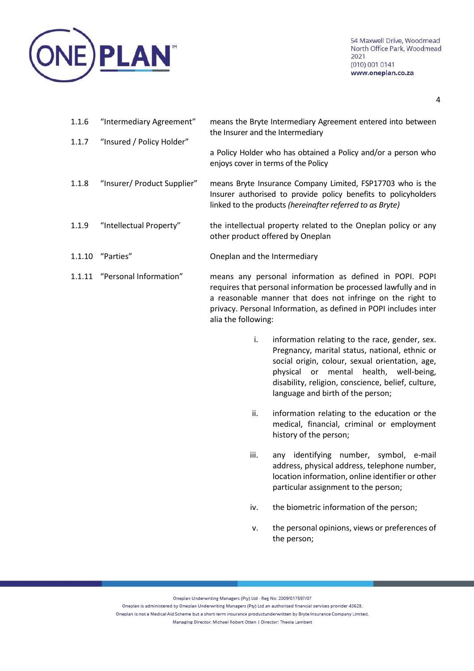

| 1.1.6 | "Intermediary Agreement"      | means the Bryte Intermediary Agreement entered into between<br>the Insurer and the Intermediary                                                                                                                                                                                     |
|-------|-------------------------------|-------------------------------------------------------------------------------------------------------------------------------------------------------------------------------------------------------------------------------------------------------------------------------------|
| 1.1.7 | "Insured / Policy Holder"     | a Policy Holder who has obtained a Policy and/or a person who<br>enjoys cover in terms of the Policy                                                                                                                                                                                |
| 1.1.8 | "Insurer/ Product Supplier"   | means Bryte Insurance Company Limited, FSP17703 who is the<br>Insurer authorised to provide policy benefits to policyholders<br>linked to the products (hereinafter referred to as Bryte)                                                                                           |
| 1.1.9 | "Intellectual Property"       | the intellectual property related to the Oneplan policy or any<br>other product offered by Oneplan                                                                                                                                                                                  |
|       | 1.1.10 "Parties"              | Oneplan and the Intermediary                                                                                                                                                                                                                                                        |
|       | 1.1.11 "Personal Information" | means any personal information as defined in POPI. POPI<br>requires that personal information be processed lawfully and in<br>a reasonable manner that does not infringe on the right to<br>privacy. Personal Information, as defined in POPI includes inter<br>alia the following: |

- i. information relating to the race, gender, sex. Pregnancy, marital status, national, ethnic or social origin, colour, sexual orientation, age, physical or mental health, well-being, disability, religion, conscience, belief, culture, language and birth of the person;
- ii. information relating to the education or the medical, financial, criminal or employment history of the person;
- iii. any identifying number, symbol, e-mail address, physical address, telephone number, location information, online identifier or other particular assignment to the person;
- iv. the biometric information of the person;
- v. the personal opinions, views or preferences of the person;

Oneplan Underwriting Managers (Pty) Ltd - Reg No: 2009/017597/07

Oneplan is administered by Oneplan Underwriting Managers (Pty) Ltd an authorised financial services provider 43628. Oneplan is not a Medical Aid Scheme but a short-term insurance productunderwritten by Bryte Insurance Company Limited.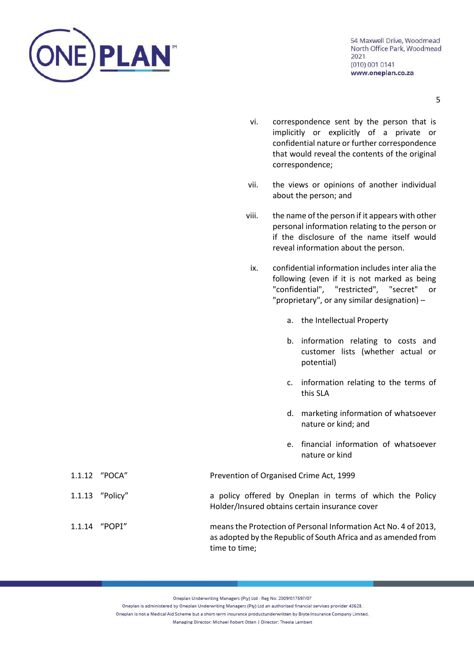

- 5
- vi. correspondence sent by the person that is implicitly or explicitly of a private or confidential nature or further correspondence that would reveal the contents of the original correspondence;
- vii. the views or opinions of another individual about the person; and
- viii. the name of the person if it appears with other personal information relating to the person or if the disclosure of the name itself would reveal information about the person.
	- ix. confidential information includes inter alia the following (even if it is not marked as being "confidential", "restricted", "secret" or "proprietary", or any similar designation) –
		- a. the Intellectual Property
		- b. information relating to costs and customer lists (whether actual or potential)
		- c. information relating to the terms of this SLA
		- d. marketing information of whatsoever nature or kind; and
		- e. financial information of whatsoever nature or kind

| 1.1.12 "POCA"   | Prevention of Organised Crime Act, 1999                                                                                                            |
|-----------------|----------------------------------------------------------------------------------------------------------------------------------------------------|
| 1.1.13 "Policy" | a policy offered by Oneplan in terms of which the Policy<br>Holder/Insured obtains certain insurance cover                                         |
| 1.1.14 "POPI"   | means the Protection of Personal Information Act No. 4 of 2013,<br>as adopted by the Republic of South Africa and as amended from<br>time to time; |

Oneplan Underwriting Managers (Pty) Ltd - Reg No: 2009/017597/07

Oneplan is administered by Oneplan Underwriting Managers (Pty) Ltd an authorised financial services provider 43628.

Oneplan is not a Medical Aid Scheme but a short-term insurance productunderwritten by Bryte Insurance Company Limited.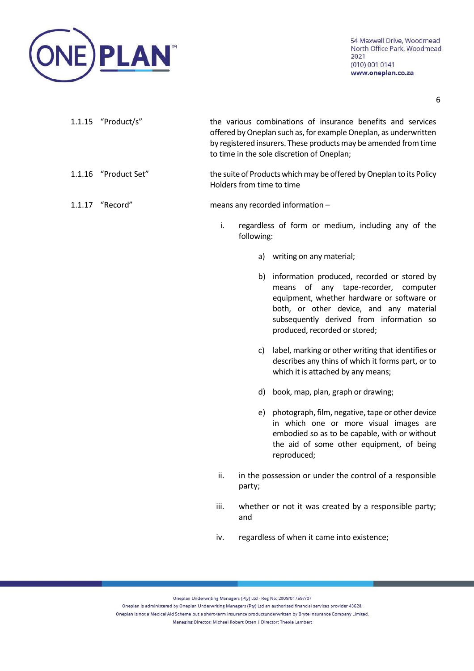

| $1.1.15$ "Product/s" | the various combinations of insurance benefits and services      |
|----------------------|------------------------------------------------------------------|
|                      | offered by Oneplan such as, for example Oneplan, as underwritten |
|                      | by registered insurers. These products may be amended from time  |
|                      | to time in the sole discretion of Oneplan;                       |

# 1.1.16 "Product Set" the suite of Products which may be offered by Oneplan to its Policy Holders from time to time

## 1.1.17 "Record" means any recorded information –

- i. regardless of form or medium, including any of the following:
	- a) writing on any material;
	- b) information produced, recorded or stored by means of any tape-recorder, computer equipment, whether hardware or software or both, or other device, and any material subsequently derived from information so produced, recorded or stored;
	- c) label, marking or other writing that identifies or describes any thins of which it forms part, or to which it is attached by any means;
	- d) book, map, plan, graph or drawing;
	- e) photograph, film, negative, tape or other device in which one or more visual images are embodied so as to be capable, with or without the aid of some other equipment, of being reproduced;
- ii. in the possession or under the control of a responsible party;
- iii. whether or not it was created by a responsible party; and
- iv. regardless of when it came into existence;

Oneplan Underwriting Managers (Pty) Ltd - Reg No: 2009/017597/07

Oneplan is administered by Oneplan Underwriting Managers (Pty) Ltd an authorised financial services provider 43628. Oneplan is not a Medical Aid Scheme but a short-term insurance productunderwritten by Bryte Insurance Company Limited.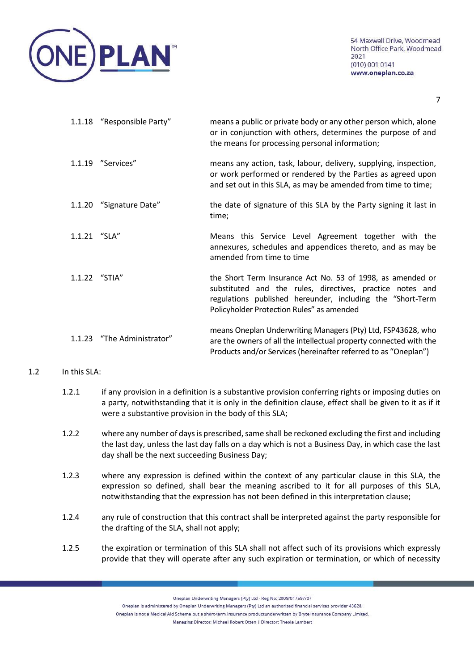

|                | 1.1.18 "Responsible Party" | means a public or private body or any other person which, alone<br>or in conjunction with others, determines the purpose of and<br>the means for processing personal information;                                                  |
|----------------|----------------------------|------------------------------------------------------------------------------------------------------------------------------------------------------------------------------------------------------------------------------------|
|                | 1.1.19 "Services"          | means any action, task, labour, delivery, supplying, inspection,<br>or work performed or rendered by the Parties as agreed upon<br>and set out in this SLA, as may be amended from time to time;                                   |
|                | 1.1.20 "Signature Date"    | the date of signature of this SLA by the Party signing it last in<br>time;                                                                                                                                                         |
| $1.1.21$ "SLA" |                            | Means this Service Level Agreement together with the<br>annexures, schedules and appendices thereto, and as may be<br>amended from time to time                                                                                    |
| 1.1.22 "STIA"  |                            | the Short Term Insurance Act No. 53 of 1998, as amended or<br>substituted and the rules, directives, practice notes and<br>regulations published hereunder, including the "Short-Term<br>Policyholder Protection Rules" as amended |
| 1.1.23         | "The Administrator"        | means Oneplan Underwriting Managers (Pty) Ltd, FSP43628, who<br>are the owners of all the intellectual property connected with the<br>Products and/or Services (hereinafter referred to as "Oneplan")                              |

## 1.2 In this SLA:

- 1.2.1 if any provision in a definition is a substantive provision conferring rights or imposing duties on a party, notwithstanding that it is only in the definition clause, effect shall be given to it as if it were a substantive provision in the body of this SLA;
- 1.2.2 where any number of days is prescribed, same shall be reckoned excluding the first and including the last day, unless the last day falls on a day which is not a Business Day, in which case the last day shall be the next succeeding Business Day;
- 1.2.3 where any expression is defined within the context of any particular clause in this SLA, the expression so defined, shall bear the meaning ascribed to it for all purposes of this SLA, notwithstanding that the expression has not been defined in this interpretation clause;
- 1.2.4 any rule of construction that this contract shall be interpreted against the party responsible for the drafting of the SLA, shall not apply;
- 1.2.5 the expiration or termination of this SLA shall not affect such of its provisions which expressly provide that they will operate after any such expiration or termination, or which of necessity

Oneplan Underwriting Managers (Pty) Ltd - Reg No: 2009/017597/07

Oneplan is not a Medical Aid Scheme but a short-term insurance productunderwritten by Bryte Insurance Company Limited.

Oneplan is administered by Oneplan Underwriting Managers (Pty) Ltd an authorised financial services provider 43628.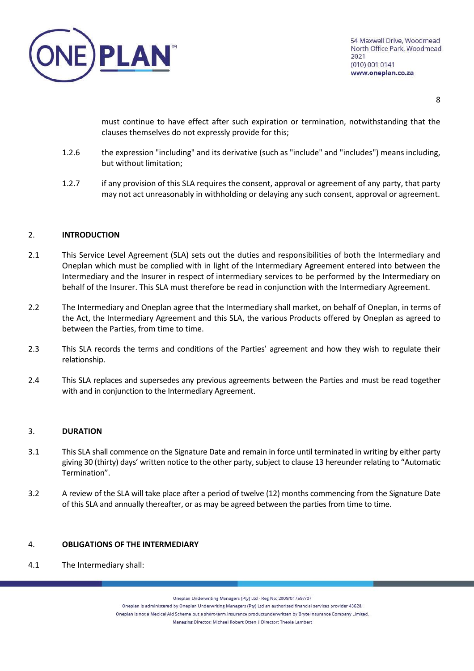

must continue to have effect after such expiration or termination, notwithstanding that the clauses themselves do not expressly provide for this;

- 1.2.6 the expression "including" and its derivative (such as "include" and "includes") means including, but without limitation;
- 1.2.7 if any provision of this SLA requires the consent, approval or agreement of any party, that party may not act unreasonably in withholding or delaying any such consent, approval or agreement.

## <span id="page-7-0"></span>2. **INTRODUCTION**

- 2.1 This Service Level Agreement (SLA) sets out the duties and responsibilities of both the Intermediary and Oneplan which must be complied with in light of the Intermediary Agreement entered into between the Intermediary and the Insurer in respect of intermediary services to be performed by the Intermediary on behalf of the Insurer. This SLA must therefore be read in conjunction with the Intermediary Agreement.
- 2.2 The Intermediary and Oneplan agree that the Intermediary shall market, on behalf of Oneplan, in terms of the Act, the Intermediary Agreement and this SLA, the various Products offered by Oneplan as agreed to between the Parties, from time to time.
- 2.3 This SLA records the terms and conditions of the Parties' agreement and how they wish to regulate their relationship.
- 2.4 This SLA replaces and supersedes any previous agreements between the Parties and must be read together with and in conjunction to the Intermediary Agreement.

### 3. **DURATION**

- 3.1 This SLA shall commence on the Signature Date and remain in force until terminated in writing by either party giving 30 (thirty) days' written notice to the other party, subject to clause 13 hereunder relating to "Automatic Termination".
- 3.2 A review of the SLA will take place after a period of twelve (12) months commencing from the Signature Date of this SLA and annually thereafter, or as may be agreed between the parties from time to time.

### <span id="page-7-2"></span>4. **OBLIGATIONS OF THE INTERMEDIARY**

4.1 The Intermediary shall:

<span id="page-7-1"></span>Oneplan Underwriting Managers (Pty) Ltd - Reg No: 2009/017597/07

Oneplan is administered by Oneplan Underwriting Managers (Pty) Ltd an authorised financial services provider 43628.

Oneplan is not a Medical Aid Scheme but a short-term insurance productunderwritten by Bryte Insurance Company Limited.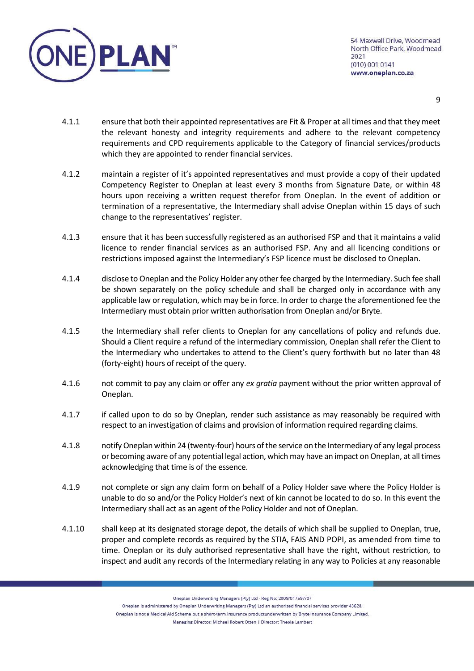

- 4.1.1 ensure that both their appointed representatives are Fit & Proper at all times and that they meet the relevant honesty and integrity requirements and adhere to the relevant competency requirements and CPD requirements applicable to the Category of financial services/products which they are appointed to render financial services.
- 4.1.2 maintain a register of it's appointed representatives and must provide a copy of their updated Competency Register to Oneplan at least every 3 months from Signature Date, or within 48 hours upon receiving a written request therefor from Oneplan. In the event of addition or termination of a representative, the Intermediary shall advise Oneplan within 15 days of such change to the representatives' register.
- 4.1.3 ensure that it has been successfully registered as an authorised FSP and that it maintains a valid licence to render financial services as an authorised FSP. Any and all licencing conditions or restrictions imposed against the Intermediary's FSP licence must be disclosed to Oneplan.
- 4.1.4 disclose to Oneplan and the Policy Holder any other fee charged by the Intermediary. Such fee shall be shown separately on the policy schedule and shall be charged only in accordance with any applicable law or regulation, which may be in force. In order to charge the aforementioned fee the Intermediary must obtain prior written authorisation from Oneplan and/or Bryte.
- 4.1.5 the Intermediary shall refer clients to Oneplan for any cancellations of policy and refunds due. Should a Client require a refund of the intermediary commission, Oneplan shall refer the Client to the Intermediary who undertakes to attend to the Client's query forthwith but no later than 48 (forty-eight) hours of receipt of the query.
- 4.1.6 not commit to pay any claim or offer any *ex gratia* payment without the prior written approval of Oneplan.
- 4.1.7 if called upon to do so by Oneplan, render such assistance as may reasonably be required with respect to an investigation of claims and provision of information required regarding claims.
- 4.1.8 notify Oneplan within 24 (twenty-four) hours of the service on the Intermediary of any legal process or becoming aware of any potential legal action, which may have an impact on Oneplan, at all times acknowledging that time is of the essence.
- 4.1.9 not complete or sign any claim form on behalf of a Policy Holder save where the Policy Holder is unable to do so and/or the Policy Holder's next of kin cannot be located to do so. In this event the Intermediary shall act as an agent of the Policy Holder and not of Oneplan.
- 4.1.10 shall keep at its designated storage depot, the details of which shall be supplied to Oneplan, true, proper and complete records as required by the STIA, FAIS AND POPI, as amended from time to time. Oneplan or its duly authorised representative shall have the right, without restriction, to inspect and audit any records of the Intermediary relating in any way to Policies at any reasonable

Oneplan Underwriting Managers (Pty) Ltd - Reg No: 2009/017597/07

Oneplan is administered by Oneplan Underwriting Managers (Pty) Ltd an authorised financial services provider 43628.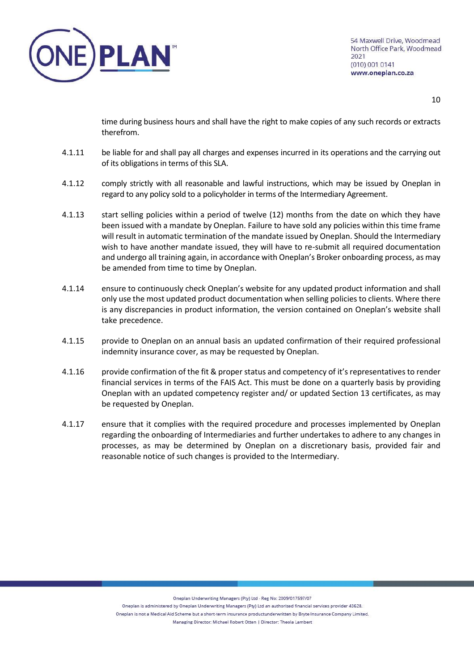

time during business hours and shall have the right to make copies of any such records or extracts therefrom.

- 4.1.11 be liable for and shall pay all charges and expenses incurred in its operations and the carrying out of its obligations in terms of this SLA.
- 4.1.12 comply strictly with all reasonable and lawful instructions, which may be issued by Oneplan in regard to any policy sold to a policyholder in terms of the Intermediary Agreement.
- 4.1.13 start selling policies within a period of twelve (12) months from the date on which they have been issued with a mandate by Oneplan. Failure to have sold any policies within this time frame will result in automatic termination of the mandate issued by Oneplan. Should the Intermediary wish to have another mandate issued, they will have to re-submit all required documentation and undergo all training again, in accordance with Oneplan's Broker onboarding process, as may be amended from time to time by Oneplan.
- 4.1.14 ensure to continuously check Oneplan's website for any updated product information and shall only use the most updated product documentation when selling policies to clients. Where there is any discrepancies in product information, the version contained on Oneplan's website shall take precedence.
- 4.1.15 provide to Oneplan on an annual basis an updated confirmation of their required professional indemnity insurance cover, as may be requested by Oneplan.
- 4.1.16 provide confirmation of the fit & proper status and competency of it's representatives to render financial services in terms of the FAIS Act. This must be done on a quarterly basis by providing Oneplan with an updated competency register and/ or updated Section 13 certificates, as may be requested by Oneplan.
- 4.1.17 ensure that it complies with the required procedure and processes implemented by Oneplan regarding the onboarding of Intermediaries and further undertakes to adhere to any changes in processes, as may be determined by Oneplan on a discretionary basis, provided fair and reasonable notice of such changes is provided to the Intermediary.

Oneplan Underwriting Managers (Pty) Ltd - Reg No: 2009/017597/07

Oneplan is administered by Oneplan Underwriting Managers (Pty) Ltd an authorised financial services provider 43628.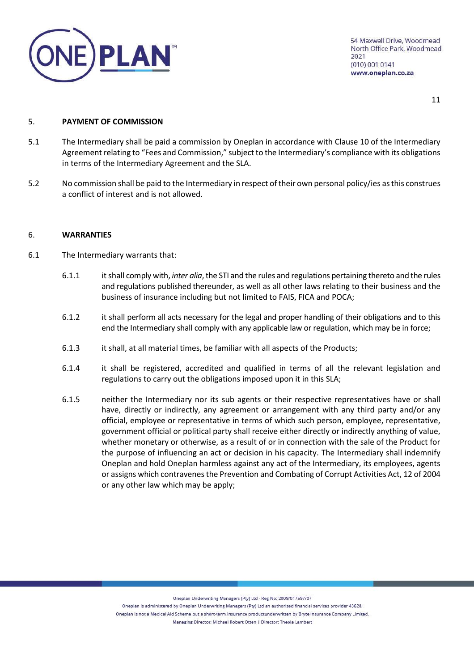

## <span id="page-10-0"></span>5. **PAYMENT OF COMMISSION**

- 5.1 The Intermediary shall be paid a commission by Oneplan in accordance with Clause 10 of the Intermediary Agreement relating to "Fees and Commission," subject to the Intermediary's compliance with its obligations in terms of the Intermediary Agreement and the SLA.
- 5.2 No commission shall be paid to the Intermediary in respect of their own personal policy/ies as this construes a conflict of interest and is not allowed.

### <span id="page-10-1"></span>6. **WARRANTIES**

- 6.1 The Intermediary warrants that:
	- 6.1.1 it shall comply with, *inter alia*, the STI and the rules and regulations pertaining thereto and the rules and regulations published thereunder, as well as all other laws relating to their business and the business of insurance including but not limited to FAIS, FICA and POCA;
	- 6.1.2 it shall perform all acts necessary for the legal and proper handling of their obligations and to this end the Intermediary shall comply with any applicable law or regulation, which may be in force;
	- 6.1.3 it shall, at all material times, be familiar with all aspects of the Products;
	- 6.1.4 it shall be registered, accredited and qualified in terms of all the relevant legislation and regulations to carry out the obligations imposed upon it in this SLA;
	- 6.1.5 neither the Intermediary nor its sub agents or their respective representatives have or shall have, directly or indirectly, any agreement or arrangement with any third party and/or any official, employee or representative in terms of which such person, employee, representative, government official or political party shall receive either directly or indirectly anything of value, whether monetary or otherwise, as a result of or in connection with the sale of the Product for the purpose of influencing an act or decision in his capacity. The Intermediary shall indemnify Oneplan and hold Oneplan harmless against any act of the Intermediary, its employees, agents or assigns which contravenes the Prevention and Combating of Corrupt Activities Act, 12 of 2004 or any other law which may be apply;

Oneplan Underwriting Managers (Pty) Ltd - Reg No: 2009/017597/07

Oneplan is administered by Oneplan Underwriting Managers (Pty) Ltd an authorised financial services provider 43628. Oneplan is not a Medical Aid Scheme but a short-term insurance productunderwritten by Bryte Insurance Company Limited. Managing Director: Michael Robert Otten | Director: Theola Lambert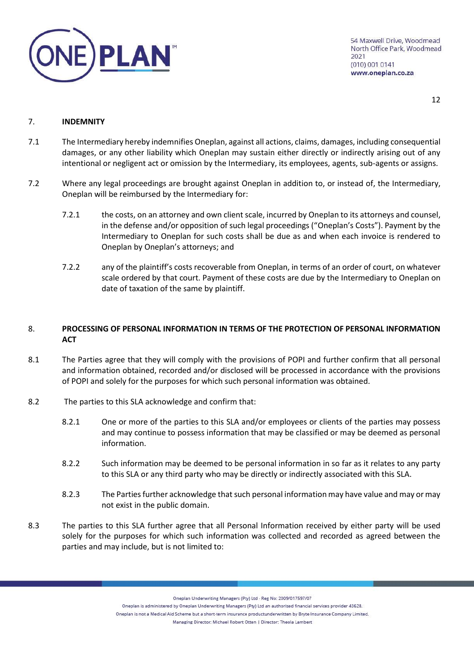

12

## <span id="page-11-0"></span>7. **INDEMNITY**

- 7.1 The Intermediary hereby indemnifies Oneplan, against all actions, claims, damages, including consequential damages, or any other liability which Oneplan may sustain either directly or indirectly arising out of any intentional or negligent act or omission by the Intermediary, its employees, agents, sub-agents or assigns.
- 7.2 Where any legal proceedings are brought against Oneplan in addition to, or instead of, the Intermediary, Oneplan will be reimbursed by the Intermediary for:
	- 7.2.1 the costs, on an attorney and own client scale, incurred by Oneplan to its attorneys and counsel, in the defense and/or opposition of such legal proceedings ("Oneplan's Costs"). Payment by the Intermediary to Oneplan for such costs shall be due as and when each invoice is rendered to Oneplan by Oneplan's attorneys; and
	- 7.2.2 any of the plaintiff's costs recoverable from Oneplan, in terms of an order of court, on whatever scale ordered by that court. Payment of these costs are due by the Intermediary to Oneplan on date of taxation of the same by plaintiff.

# <span id="page-11-1"></span>8. **PROCESSING OF PERSONAL INFORMATION IN TERMS OF THE PROTECTION OF PERSONAL INFORMATION ACT**

- 8.1 The Parties agree that they will comply with the provisions of POPI and further confirm that all personal and information obtained, recorded and/or disclosed will be processed in accordance with the provisions of POPI and solely for the purposes for which such personal information was obtained.
- 8.2 The parties to this SLA acknowledge and confirm that:
	- 8.2.1 One or more of the parties to this SLA and/or employees or clients of the parties may possess and may continue to possess information that may be classified or may be deemed as personal information.
	- 8.2.2 Such information may be deemed to be personal information in so far as it relates to any party to this SLA or any third party who may be directly or indirectly associated with this SLA.
	- 8.2.3 The Parties further acknowledge that such personal information may have value and may or may not exist in the public domain.
- 8.3 The parties to this SLA further agree that all Personal Information received by either party will be used solely for the purposes for which such information was collected and recorded as agreed between the parties and may include, but is not limited to:

Oneplan Underwriting Managers (Pty) Ltd - Reg No: 2009/017597/07

Oneplan is administered by Oneplan Underwriting Managers (Pty) Ltd an authorised financial services provider 43628.

Oneplan is not a Medical Aid Scheme but a short-term insurance productunderwritten by Bryte Insurance Company Limited.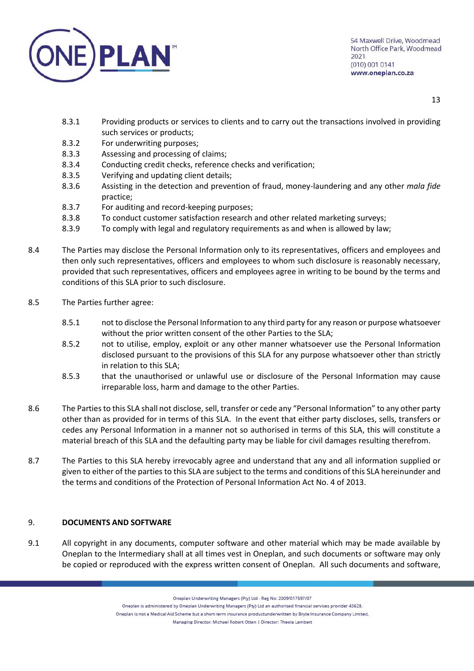

- 8.3.1 Providing products or services to clients and to carry out the transactions involved in providing such services or products;
- 8.3.2 For underwriting purposes;
- 8.3.3 Assessing and processing of claims;
- 8.3.4 Conducting credit checks, reference checks and verification;
- 8.3.5 Verifying and updating client details;
- 8.3.6 Assisting in the detection and prevention of fraud, money-laundering and any other *mala fide*  practice;
- 8.3.7 For auditing and record-keeping purposes;
- 8.3.8 To conduct customer satisfaction research and other related marketing surveys;
- 8.3.9 To comply with legal and regulatory requirements as and when is allowed by law;
- 8.4 The Parties may disclose the Personal Information only to its representatives, officers and employees and then only such representatives, officers and employees to whom such disclosure is reasonably necessary, provided that such representatives, officers and employees agree in writing to be bound by the terms and conditions of this SLA prior to such disclosure.
- 8.5 The Parties further agree:
	- 8.5.1 not to disclose the Personal Information to any third party for any reason or purpose whatsoever without the prior written consent of the other Parties to the SLA;
	- 8.5.2 not to utilise, employ, exploit or any other manner whatsoever use the Personal Information disclosed pursuant to the provisions of this SLA for any purpose whatsoever other than strictly in relation to this SLA;
	- 8.5.3 that the unauthorised or unlawful use or disclosure of the Personal Information may cause irreparable loss, harm and damage to the other Parties.
- 8.6 The Parties to this SLA shall not disclose, sell, transfer or cede any "Personal Information" to any other party other than as provided for in terms of this SLA. In the event that either party discloses, sells, transfers or cedes any Personal Information in a manner not so authorised in terms of this SLA, this will constitute a material breach of this SLA and the defaulting party may be liable for civil damages resulting therefrom.
- 8.7 The Parties to this SLA hereby irrevocably agree and understand that any and all information supplied or given to either of the parties to this SLA are subject to the terms and conditions of this SLA hereinunder and the terms and conditions of the Protection of Personal Information Act No. 4 of 2013.

# <span id="page-12-0"></span>9. **DOCUMENTS AND SOFTWARE**

9.1 All copyright in any documents, computer software and other material which may be made available by Oneplan to the Intermediary shall at all times vest in Oneplan, and such documents or software may only be copied or reproduced with the express written consent of Oneplan. All such documents and software,

Oneplan Underwriting Managers (Pty) Ltd - Reg No: 2009/017597/07

Oneplan is administered by Oneplan Underwriting Managers (Pty) Ltd an authorised financial services provider 43628.

Oneplan is not a Medical Aid Scheme but a short-term insurance productunderwritten by Bryte Insurance Company Limited.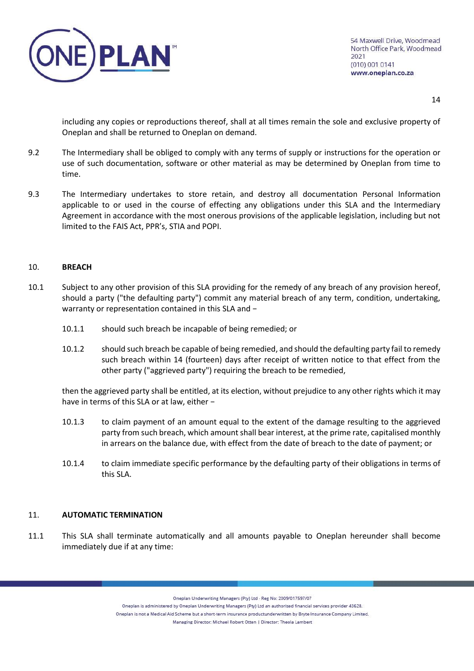

including any copies or reproductions thereof, shall at all times remain the sole and exclusive property of Oneplan and shall be returned to Oneplan on demand.

- 9.2 The Intermediary shall be obliged to comply with any terms of supply or instructions for the operation or use of such documentation, software or other material as may be determined by Oneplan from time to time.
- 9.3 The Intermediary undertakes to store retain, and destroy all documentation Personal Information applicable to or used in the course of effecting any obligations under this SLA and the Intermediary Agreement in accordance with the most onerous provisions of the applicable legislation, including but not limited to the FAIS Act, PPR's, STIA and POPI.

## <span id="page-13-0"></span>10. **BREACH**

- 10.1 Subject to any other provision of this SLA providing for the remedy of any breach of any provision hereof, should a party ("the defaulting party") commit any material breach of any term, condition, undertaking, warranty or representation contained in this SLA and −
	- 10.1.1 should such breach be incapable of being remedied; or
	- 10.1.2 should such breach be capable of being remedied, and should the defaulting party fail to remedy such breach within 14 (fourteen) days after receipt of written notice to that effect from the other party ("aggrieved party") requiring the breach to be remedied,

then the aggrieved party shall be entitled, at its election, without prejudice to any other rights which it may have in terms of this SLA or at law, either −

- 10.1.3 to claim payment of an amount equal to the extent of the damage resulting to the aggrieved party from such breach, which amount shall bear interest, at the prime rate, capitalised monthly in arrears on the balance due, with effect from the date of breach to the date of payment; or
- 10.1.4 to claim immediate specific performance by the defaulting party of their obligations in terms of this SLA.

## <span id="page-13-1"></span>11. **AUTOMATIC TERMINATION**

11.1 This SLA shall terminate automatically and all amounts payable to Oneplan hereunder shall become immediately due if at any time:

Oneplan Underwriting Managers (Pty) Ltd - Reg No: 2009/017597/07

Oneplan is administered by Oneplan Underwriting Managers (Pty) Ltd an authorised financial services provider 43628.

Oneplan is not a Medical Aid Scheme but a short-term insurance productunderwritten by Bryte Insurance Company Limited.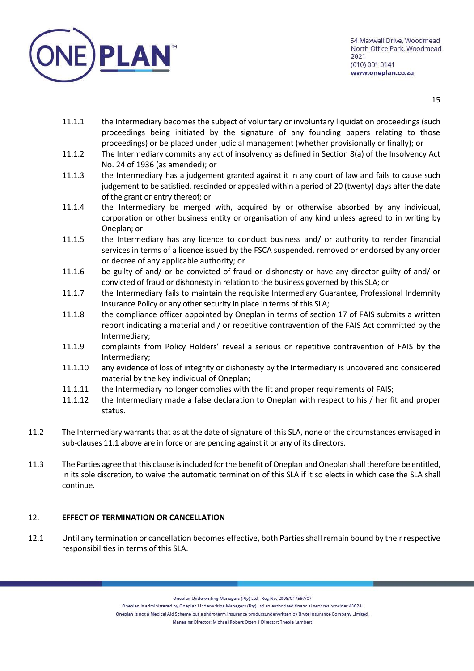

- 11.1.1 the Intermediary becomes the subject of voluntary or involuntary liquidation proceedings (such proceedings being initiated by the signature of any founding papers relating to those proceedings) or be placed under judicial management (whether provisionally or finally); or
- 11.1.2 The Intermediary commits any act of insolvency as defined in Section 8(a) of the Insolvency Act No. 24 of 1936 (as amended); or
- 11.1.3 the Intermediary has a judgement granted against it in any court of law and fails to cause such judgement to be satisfied, rescinded or appealed within a period of 20 (twenty) days after the date of the grant or entry thereof; or
- 11.1.4 the Intermediary be merged with, acquired by or otherwise absorbed by any individual, corporation or other business entity or organisation of any kind unless agreed to in writing by Oneplan; or
- 11.1.5 the Intermediary has any licence to conduct business and/ or authority to render financial services in terms of a licence issued by the FSCA suspended, removed or endorsed by any order or decree of any applicable authority; or
- 11.1.6 be guilty of and/ or be convicted of fraud or dishonesty or have any director guilty of and/ or convicted of fraud or dishonesty in relation to the business governed by this SLA; or
- 11.1.7 the Intermediary fails to maintain the requisite Intermediary Guarantee, Professional Indemnity Insurance Policy or any other security in place in terms of this SLA;
- 11.1.8 the compliance officer appointed by Oneplan in terms of section 17 of FAIS submits a written report indicating a material and / or repetitive contravention of the FAIS Act committed by the Intermediary;
- 11.1.9 complaints from Policy Holders' reveal a serious or repetitive contravention of FAIS by the Intermediary;
- 11.1.10 any evidence of loss of integrity or dishonesty by the Intermediary is uncovered and considered material by the key individual of Oneplan;
- 11.1.11 the Intermediary no longer complies with the fit and proper requirements of FAIS;
- 11.1.12 the Intermediary made a false declaration to Oneplan with respect to his / her fit and proper status.
- 11.2 The Intermediary warrants that as at the date of signature of this SLA, none of the circumstances envisaged in sub-clauses 11.1 above are in force or are pending against it or any of its directors.
- 11.3 The Parties agree that this clause is included for the benefit of Oneplan and Oneplan shall therefore be entitled, in its sole discretion, to waive the automatic termination of this SLA if it so elects in which case the SLA shall continue.

# <span id="page-14-0"></span>12. **EFFECT OF TERMINATION OR CANCELLATION**

12.1 Until any termination or cancellation becomes effective, both Parties shall remain bound by their respective responsibilities in terms of this SLA.

Oneplan Underwriting Managers (Pty) Ltd - Reg No: 2009/017597/07

Oneplan is administered by Oneplan Underwriting Managers (Pty) Ltd an authorised financial services provider 43628.

Oneplan is not a Medical Aid Scheme but a short-term insurance productunderwritten by Bryte Insurance Company Limited.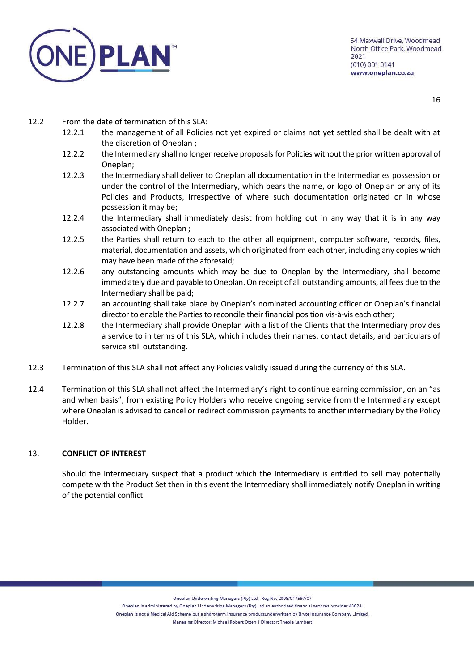

12.2 From the date of termination of this SLA:

- 12.2.1 the management of all Policies not yet expired or claims not yet settled shall be dealt with at the discretion of Oneplan ;
- 12.2.2 the Intermediary shall no longer receive proposals for Policies without the prior written approval of Oneplan;
- 12.2.3 the Intermediary shall deliver to Oneplan all documentation in the Intermediaries possession or under the control of the Intermediary, which bears the name, or logo of Oneplan or any of its Policies and Products, irrespective of where such documentation originated or in whose possession it may be;
- 12.2.4 the Intermediary shall immediately desist from holding out in any way that it is in any way associated with Oneplan ;
- 12.2.5 the Parties shall return to each to the other all equipment, computer software, records, files, material, documentation and assets, which originated from each other, including any copies which may have been made of the aforesaid;
- 12.2.6 any outstanding amounts which may be due to Oneplan by the Intermediary, shall become immediately due and payable to Oneplan. On receipt of all outstanding amounts, all fees due to the Intermediary shall be paid;
- 12.2.7 an accounting shall take place by Oneplan's nominated accounting officer or Oneplan's financial director to enable the Parties to reconcile their financial position vis-à-vis each other;
- 12.2.8 the Intermediary shall provide Oneplan with a list of the Clients that the Intermediary provides a service to in terms of this SLA, which includes their names, contact details, and particulars of service still outstanding.
- 12.3 Termination of this SLA shall not affect any Policies validly issued during the currency of this SLA.
- 12.4 Termination of this SLA shall not affect the Intermediary's right to continue earning commission, on an "as and when basis", from existing Policy Holders who receive ongoing service from the Intermediary except where Oneplan is advised to cancel or redirect commission payments to another intermediary by the Policy Holder.

## <span id="page-15-0"></span>13. **CONFLICT OF INTEREST**

Should the Intermediary suspect that a product which the Intermediary is entitled to sell may potentially compete with the Product Set then in this event the Intermediary shall immediately notify Oneplan in writing of the potential conflict.

Oneplan Underwriting Managers (Pty) Ltd - Reg No: 2009/017597/07

Oneplan is administered by Oneplan Underwriting Managers (Pty) Ltd an authorised financial services provider 43628.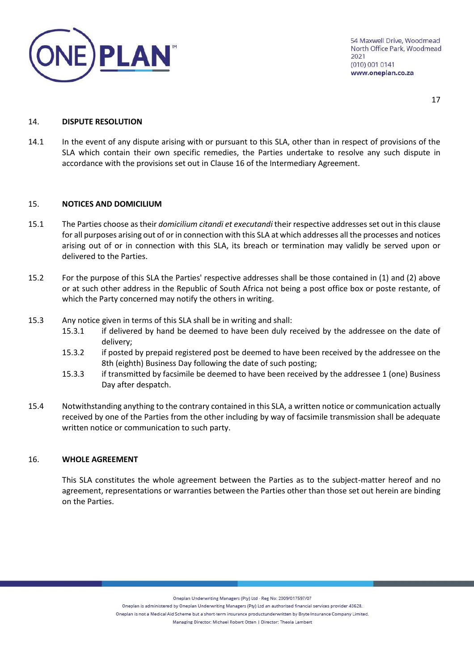

### <span id="page-16-0"></span>14. **DISPUTE RESOLUTION**

14.1 In the event of any dispute arising with or pursuant to this SLA, other than in respect of provisions of the SLA which contain their own specific remedies, the Parties undertake to resolve any such dispute in accordance with the provisions set out in Clause 16 of the Intermediary Agreement.

## <span id="page-16-1"></span>15. **NOTICES AND DOMICILIUM**

- 15.1 The Parties choose as their *domicilium citandi et executandi* their respective addresses set out in this clause for all purposes arising out of or in connection with this SLA at which addresses all the processes and notices arising out of or in connection with this SLA, its breach or termination may validly be served upon or delivered to the Parties.
- 15.2 For the purpose of this SLA the Parties' respective addresses shall be those contained in (1) and (2) above or at such other address in the Republic of South Africa not being a post office box or poste restante, of which the Party concerned may notify the others in writing.
- 15.3 Any notice given in terms of this SLA shall be in writing and shall:
	- 15.3.1 if delivered by hand be deemed to have been duly received by the addressee on the date of delivery;
	- 15.3.2 if posted by prepaid registered post be deemed to have been received by the addressee on the 8th (eighth) Business Day following the date of such posting;
	- 15.3.3 if transmitted by facsimile be deemed to have been received by the addressee 1 (one) Business Day after despatch.
- 15.4 Notwithstanding anything to the contrary contained in this SLA, a written notice or communication actually received by one of the Parties from the other including by way of facsimile transmission shall be adequate written notice or communication to such party.

## <span id="page-16-2"></span>16. **WHOLE AGREEMENT**

This SLA constitutes the whole agreement between the Parties as to the subject-matter hereof and no agreement, representations or warranties between the Parties other than those set out herein are binding on the Parties.

Oneplan Underwriting Managers (Pty) Ltd - Reg No: 2009/017597/07

Oneplan is administered by Oneplan Underwriting Managers (Pty) Ltd an authorised financial services provider 43628.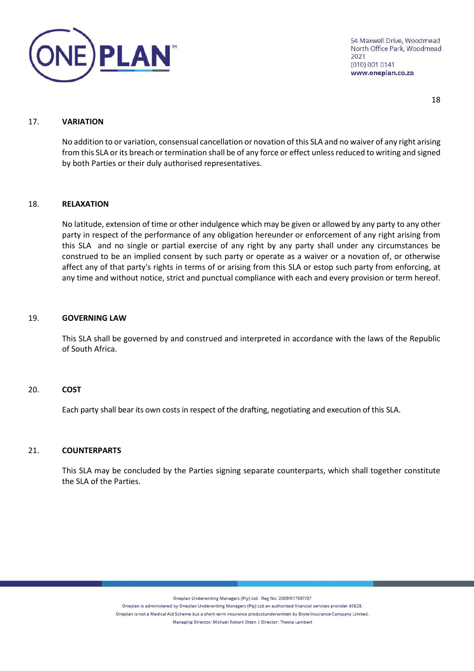

18

### <span id="page-17-0"></span>17. **VARIATION**

No addition to or variation, consensual cancellation or novation of this SLA and no waiver of any right arising from this SLA or its breach or termination shall be of any force or effect unless reduced to writing and signed by both Parties or their duly authorised representatives.

## <span id="page-17-1"></span>18. **RELAXATION**

No latitude, extension of time or other indulgence which may be given or allowed by any party to any other party in respect of the performance of any obligation hereunder or enforcement of any right arising from this SLA and no single or partial exercise of any right by any party shall under any circumstances be construed to be an implied consent by such party or operate as a waiver or a novation of, or otherwise affect any of that party's rights in terms of or arising from this SLA or estop such party from enforcing, at any time and without notice, strict and punctual compliance with each and every provision or term hereof.

### <span id="page-17-2"></span>19. **GOVERNING LAW**

This SLA shall be governed by and construed and interpreted in accordance with the laws of the Republic of South Africa.

## <span id="page-17-3"></span>20. **COST**

Each party shall bear its own costs in respect of the drafting, negotiating and execution of this SLA.

## <span id="page-17-4"></span>21. **COUNTERPARTS**

This SLA may be concluded by the Parties signing separate counterparts, which shall together constitute the SLA of the Parties.

Oneplan Underwriting Managers (Pty) Ltd - Reg No: 2009/017597/07

Oneplan is administered by Oneplan Underwriting Managers (Pty) Ltd an authorised financial services provider 43628.